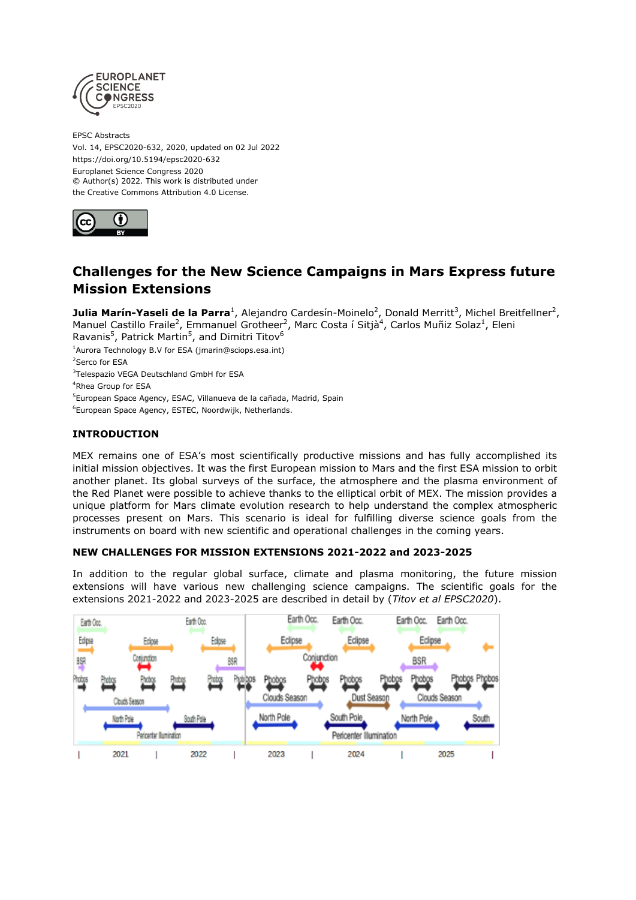

EPSC Abstracts Vol. 14, EPSC2020-632, 2020, updated on 02 Jul 2022 https://doi.org/10.5194/epsc2020-632 Europlanet Science Congress 2020 © Author(s) 2022. This work is distributed under the Creative Commons Attribution 4.0 License.



# **Challenges for the New Science Campaigns in Mars Express future Mission Extensions**

**Julia Marín-Yaseli de la Parra**<sup>1</sup>, Alejandro Cardesín-Moinelo<sup>2</sup>, Donald Merritt<sup>3</sup>, Michel Breitfellner<sup>2</sup>, Manuel Castillo Fraile<sup>2</sup>, Emmanuel Grotheer<sup>2</sup>, Marc Costa í Sitjà<sup>4</sup>, Carlos Muñiz Solaz<sup>1</sup>, Eleni

Ravanis<sup>5</sup>, Patrick Martin<sup>5</sup>, and Dimitri Titov<sup>6</sup>

<sup>1</sup>Aurora Technology B.V for ESA (jmarin@sciops.esa.int)

<sup>2</sup>Serco for ESA

<sup>3</sup>Telespazio VEGA Deutschland GmbH for ESA

<sup>4</sup>Rhea Group for ESA

<sup>5</sup>European Space Agency, ESAC, Villanueva de la cañada, Madrid, Spain

<sup>6</sup>European Space Agency, ESTEC, Noordwijk, Netherlands.

## **INTRODUCTION**

MEX remains one of ESA's most scientifically productive missions and has fully accomplished its initial mission objectives. It was the first European mission to Mars and the first ESA mission to orbit another planet. Its global surveys of the surface, the atmosphere and the plasma environment of the Red Planet were possible to achieve thanks to the elliptical orbit of MEX. The mission provides a unique platform for Mars climate evolution research to help understand the complex atmospheric processes present on Mars. This scenario is ideal for fulfilling diverse science goals from the instruments on board with new scientific and operational challenges in the coming years.

### **NEW CHALLENGES FOR MISSION EXTENSIONS 2021-2022 and 2023-2025**

In addition to the regular global surface, climate and plasma monitoring, the future mission extensions will have various new challenging science campaigns. The scientific goals for the extensions 2021-2022 and 2023-2025 are described in detail by (*Titov et al EPSC2020*).

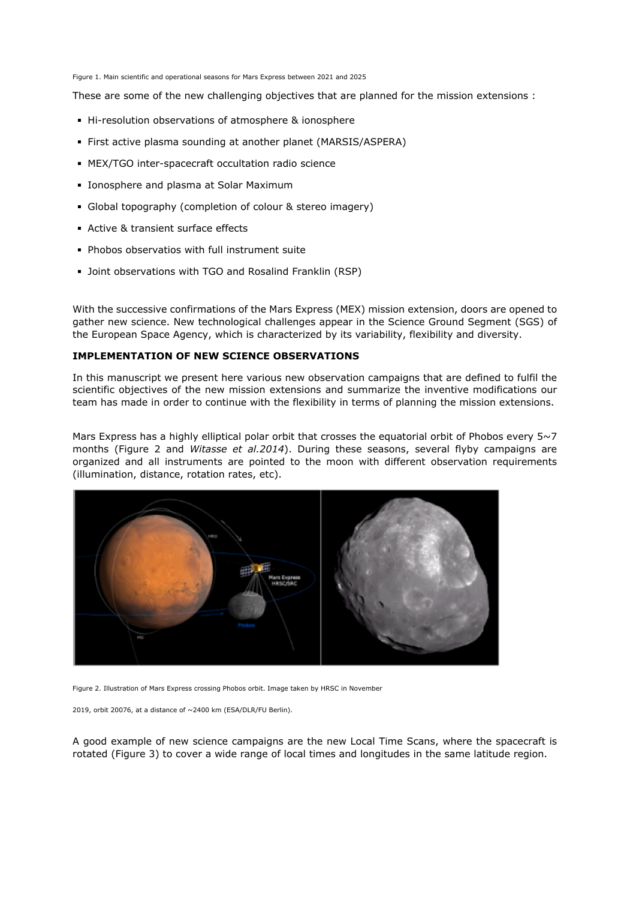Figure 1. Main scientific and operational seasons for Mars Express between 2021 and 2025

These are some of the new challenging objectives that are planned for the mission extensions :

- Hi-resolution observations of atmosphere & ionosphere
- First active plasma sounding at another planet (MARSIS/ASPERA)
- MEX/TGO inter-spacecraft occultation radio science
- **Ionosphere and plasma at Solar Maximum**
- Global topography (completion of colour & stereo imagery)
- Active & transient surface effects
- **Phobos observatios with full instrument suite**
- **Dint observations with TGO and Rosalind Franklin (RSP)**

With the successive confirmations of the Mars Express (MEX) mission extension, doors are opened to gather new science. New technological challenges appear in the Science Ground Segment (SGS) of the European Space Agency, which is characterized by its variability, flexibility and diversity.

#### **IMPLEMENTATION OF NEW SCIENCE OBSERVATIONS**

In this manuscript we present here various new observation campaigns that are defined to fulfil the scientific objectives of the new mission extensions and summarize the inventive modifications our team has made in order to continue with the flexibility in terms of planning the mission extensions.

Mars Express has a highly elliptical polar orbit that crosses the equatorial orbit of Phobos every 5~7 months (Figure 2 and *Witasse et al.2014*). During these seasons, several flyby campaigns are organized and all instruments are pointed to the moon with different observation requirements (illumination, distance, rotation rates, etc).



Figure 2. Illustration of Mars Express crossing Phobos orbit. Image taken by HRSC in November

2019, orbit 20076, at a distance of ~2400 km (ESA/DLR/FU Berlin).

A good example of new science campaigns are the new Local Time Scans, where the spacecraft is rotated (Figure 3) to cover a wide range of local times and longitudes in the same latitude region.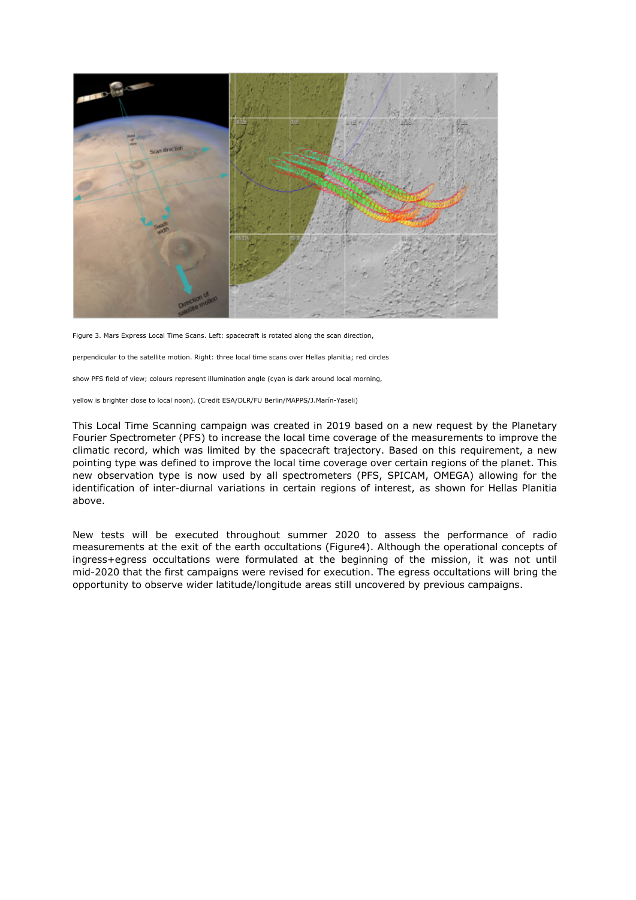

Figure 3. Mars Express Local Time Scans. Left: spacecraft is rotated along the scan direction,

perpendicular to the satellite motion. Right: three local time scans over Hellas planitia; red circles

show PFS field of view; colours represent illumination angle (cyan is dark around local morning,

yellow is brighter close to local noon). (Credit ESA/DLR/FU Berlin/MAPPS/J.Marín-Yaseli)

This Local Time Scanning campaign was created in 2019 based on a new request by the Planetary Fourier Spectrometer (PFS) to increase the local time coverage of the measurements to improve the climatic record, which was limited by the spacecraft trajectory. Based on this requirement, a new pointing type was defined to improve the local time coverage over certain regions of the planet. This new observation type is now used by all spectrometers (PFS, SPICAM, OMEGA) allowing for the identification of inter-diurnal variations in certain regions of interest, as shown for Hellas Planitia above.

New tests will be executed throughout summer 2020 to assess the performance of radio measurements at the exit of the earth occultations (Figure4). Although the operational concepts of ingress+egress occultations were formulated at the beginning of the mission, it was not until mid-2020 that the first campaigns were revised for execution. The egress occultations will bring the opportunity to observe wider latitude/longitude areas still uncovered by previous campaigns.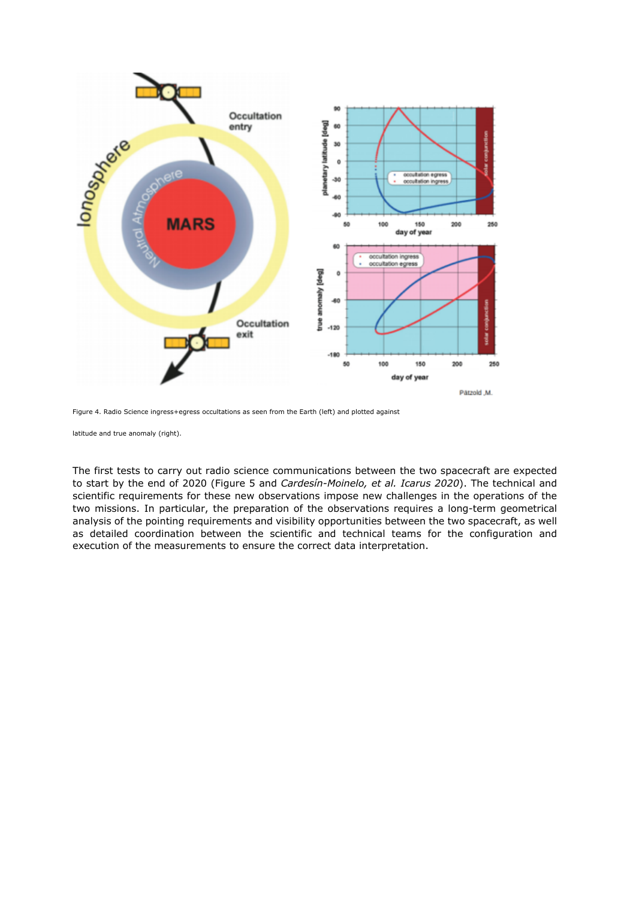

Figure 4. Radio Science ingress+egress occultations as seen from the Earth (left) and plotted against

latitude and true anomaly (right).

The first tests to carry out radio science communications between the two spacecraft are expected to start by the end of 2020 (Figure 5 and *Cardesín-Moinelo, et al. Icarus 2020*). The technical and scientific requirements for these new observations impose new challenges in the operations of the two missions. In particular, the preparation of the observations requires a long-term geometrical analysis of the pointing requirements and visibility opportunities between the two spacecraft, as well as detailed coordination between the scientific and technical teams for the configuration and execution of the measurements to ensure the correct data interpretation.